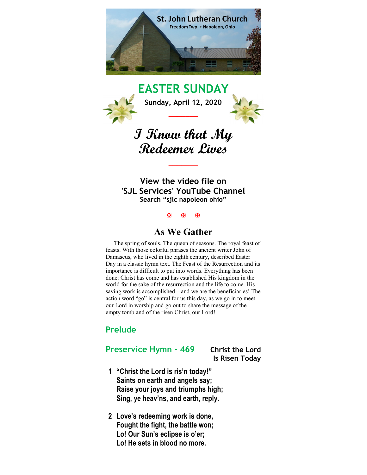

EASTER SUNDAY Sunday, April 12, 2020 \_\_\_\_\_\_\_

# I Know that My Redeemer Lives

 $\overline{\phantom{a}}$ 

View the video file on 'SJL Services' YouTube Channel Search "sjlc napoleon ohio"

医 医 医

### As We Gather

 The spring of souls. The queen of seasons. The royal feast of feasts. With those colorful phrases the ancient writer John of Damascus, who lived in the eighth century, described Easter Day in a classic hymn text. The Feast of the Resurrection and its importance is difficult to put into words. Everything has been done: Christ has come and has established His kingdom in the world for the sake of the resurrection and the life to come. His saving work is accomplished—and we are the beneficiaries! The action word "go" is central for us this day, as we go in to meet our Lord in worship and go out to share the message of the empty tomb and of the risen Christ, our Lord!

### Prelude

### Preservice Hymn - 469 Christ the Lord

Is Risen Today

- 1 "Christ the Lord is ris'n today!" Saints on earth and angels say; Raise your joys and triumphs high; Sing, ye heav'ns, and earth, reply.
- 2 Love's redeeming work is done, Fought the fight, the battle won; Lo! Our Sun's eclipse is o'er; Lo! He sets in blood no more.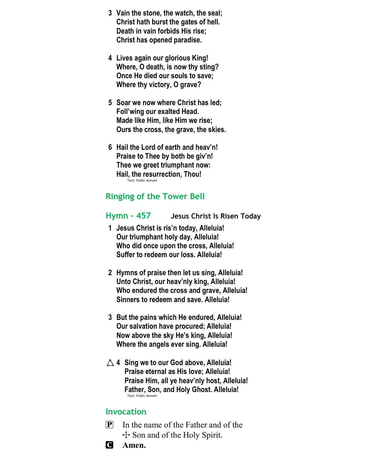- 3 Vain the stone, the watch, the seal; Christ hath burst the gates of hell. Death in vain forbids His rise; Christ has opened paradise.
- 4 Lives again our glorious King! Where, O death, is now thy sting? Once He died our souls to save; Where thy victory, O grave?
- 5 Soar we now where Christ has led; Foll'wing our exalted Head. Made like Him, like Him we rise; Ours the cross, the grave, the skies.
- 6 Hail the Lord of earth and heav'n! Praise to Thee by both be giv'n! Thee we greet triumphant now: Hail, the resurrection, Thou! Text: Public domain

### Ringing of the Tower Bell

### Hymn - 457 Jesus Christ Is Risen Today

- 1 Jesus Christ is ris'n today, Alleluia! Our triumphant holy day, Alleluia! Who did once upon the cross, Alleluia! Suffer to redeem our loss. Alleluia!
- 2 Hymns of praise then let us sing, Alleluia! Unto Christ, our heav'nly king, Alleluia! Who endured the cross and grave, Alleluia! Sinners to redeem and save. Alleluia!
- 3 But the pains which He endured, Alleluia! Our salvation have procured; Alleluia! Now above the sky He's king, Alleluia! Where the angels ever sing. Alleluia!
- $\triangle$  4 Sing we to our God above, Alleluia! Praise eternal as His love; Alleluia! Praise Him, all ye heav'nly host, Alleluia! Father, Son, and Holy Ghost. Alleluia! Text: Public domain

### Invocation

- $\left| \mathbf{P} \right|$  In the name of the Father and of the  $\pm$  Son and of the Holy Spirit.
- C Amen.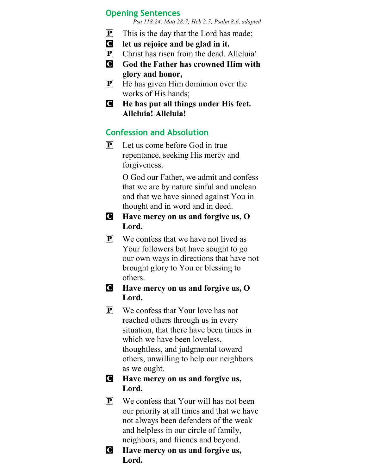### Opening Sentences

Psa 118:24; Matt 28:7; Heb 2:7; Psalm 8:6, adapted

- $\boxed{\mathbf{P}}$  This is the day that the Lord has made;
- C let us rejoice and be glad in it.
- $\mathbf{P}$  Christ has risen from the dead. Alleluia!
- **C** God the Father has crowned Him with glory and honor,
- $\left| \mathbf{P} \right|$  He has given Him dominion over the works of His hands;
- C He has put all things under His feet. Alleluia! Alleluia!

### Confession and Absolution

 $\left[ \mathbf{P} \right]$  Let us come before God in true repentance, seeking His mercy and forgiveness.

> O God our Father, we admit and confess that we are by nature sinful and unclean and that we have sinned against You in thought and in word and in deed.

- C Have mercy on us and forgive us, O Lord.
- $\mathbf{P}$  We confess that we have not lived as Your followers but have sought to go our own ways in directions that have not brought glory to You or blessing to others.
- C Have mercy on us and forgive us, O Lord.
- $\mathbf{P}$  We confess that Your love has not reached others through us in every situation, that there have been times in which we have been loveless, thoughtless, and judgmental toward others, unwilling to help our neighbors as we ought.

### C Have mercy on us and forgive us, Lord.

- P We confess that Your will has not been our priority at all times and that we have not always been defenders of the weak and helpless in our circle of family, neighbors, and friends and beyond.
- C Have mercy on us and forgive us, Lord.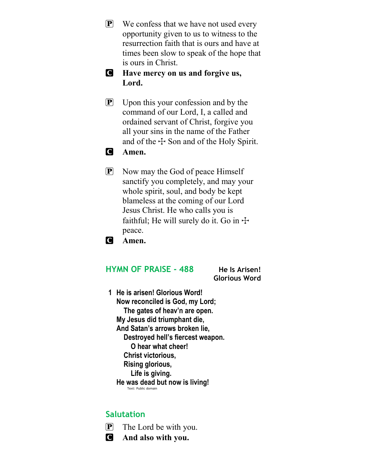- P We confess that we have not used every opportunity given to us to witness to the resurrection faith that is ours and have at times been slow to speak of the hope that is ours in Christ.
- C Have mercy on us and forgive us, Lord.
- $\mathbf{P}$  Upon this your confession and by the command of our Lord, I, a called and ordained servant of Christ, forgive you all your sins in the name of the Father and of the  $\pm$  Son and of the Holy Spirit.

### **C** Amen.

- **P** Now may the God of peace Himself sanctify you completely, and may your whole spirit, soul, and body be kept blameless at the coming of our Lord Jesus Christ. He who calls you is faithful; He will surely do it. Go in  $\pm$ peace.
- C Amen.

### HYMN OF PRAISE - 488 He Is Arisen!

Glorious Word

1 He is arisen! Glorious Word! Now reconciled is God, my Lord; The gates of heav'n are open. My Jesus did triumphant die, And Satan's arrows broken lie, Destroyed hell's fiercest weapon. O hear what cheer! Christ victorious, Rising glorious, Life is giving. He was dead but now is living! Text: Public domain

### **Salutation**

- P The Lord be with you.
- C And also with you.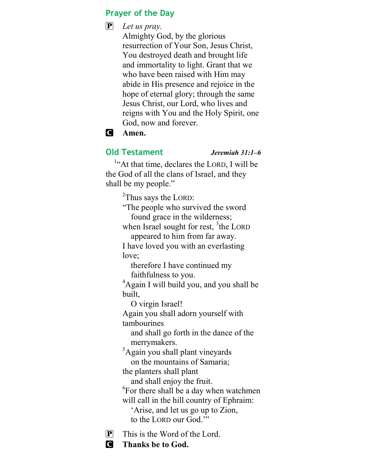### Prayer of the Day

### $\mathbf{P}$  Let us pray.

Almighty God, by the glorious resurrection of Your Son, Jesus Christ, You destroyed death and brought life and immortality to light. Grant that we who have been raised with Him may abide in His presence and rejoice in the hope of eternal glory; through the same Jesus Christ, our Lord, who lives and reigns with You and the Holy Spirit, one God, now and forever.

### C Amen.

### Old Testament Jeremiah 31:1-6

<sup>1</sup>"At that time, declares the LORD, I will be the God of all the clans of Israel, and they shall be my people."

<sup>2</sup>Thus says the LORD:

"The people who survived the sword found grace in the wilderness;

when Israel sought for rest,  $3$ the LORD appeared to him from far away.

I have loved you with an everlasting love;

 therefore I have continued my faithfulness to you.

<sup>4</sup>Again I will build you, and you shall be built,

O virgin Israel!

Again you shall adorn yourself with tambourines

 and shall go forth in the dance of the merrymakers.

<sup>5</sup>Again you shall plant vineyards on the mountains of Samaria;

the planters shall plant

and shall enjoy the fruit.

<sup>6</sup>For there shall be a day when watchmen will call in the hill country of Ephraim:

 'Arise, and let us go up to Zion, to the LORD our God.'"

 $[P]$  This is the Word of the Lord.

C Thanks be to God.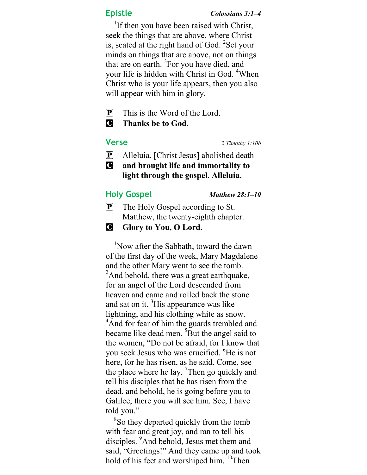<sup>1</sup>If then you have been raised with Christ, seek the things that are above, where Christ is, seated at the right hand of God.  $\overline{2}$ Set your minds on things that are above, not on things that are on earth.  ${}^{3}$ For you have died, and your life is hidden with Christ in God. <sup>4</sup>When Christ who is your life appears, then you also will appear with him in glory.

- $\mathbf{P}$  This is the Word of the Lord.
- C Thanks be to God.

### Verse 2 Timothy 1:10b

- P Alleluia. [Christ Jesus] abolished death
- C and brought life and immortality to light through the gospel. Alleluia.

### Holy Gospel Matthew 28:1-10

- P The Holy Gospel according to St. Matthew, the twenty-eighth chapter.
- **G** Glory to You, O Lord.

<sup>1</sup>Now after the Sabbath, toward the dawn of the first day of the week, Mary Magdalene and the other Mary went to see the tomb.  $2$ And behold, there was a great earthquake, for an angel of the Lord descended from heaven and came and rolled back the stone and sat on it. <sup>3</sup>His appearance was like lightning, and his clothing white as snow. <sup>4</sup>And for fear of him the guards trembled and became like dead men. <sup>5</sup>But the angel said to the women, "Do not be afraid, for I know that you seek Jesus who was crucified. <sup>o</sup>He is not here, for he has risen, as he said. Come, see the place where he lay.  $\textsuperscript{7}$ Then go quickly and tell his disciples that he has risen from the dead, and behold, he is going before you to Galilee; there you will see him. See, I have told you."

<sup>8</sup>So they departed quickly from the tomb with fear and great joy, and ran to tell his disciples. <sup>9</sup>And behold, Jesus met them and said, "Greetings!" And they came up and took hold of his feet and worshiped him. <sup>10</sup>Then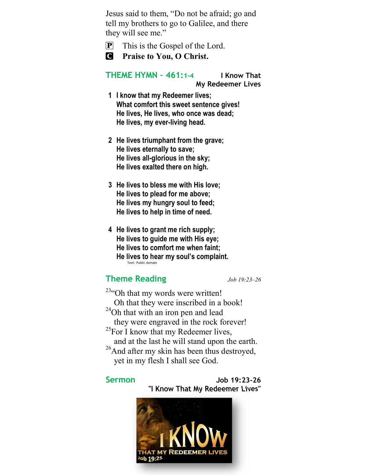Jesus said to them, "Do not be afraid; go and tell my brothers to go to Galilee, and there they will see me."

- P This is the Gospel of the Lord.
- **C** Praise to You, O Christ.

THEME HYMN – 461:1-4 I Know That

My Redeemer Lives

- 1 I know that my Redeemer lives; What comfort this sweet sentence gives! He lives, He lives, who once was dead; He lives, my ever-living head.
- 2 He lives triumphant from the grave; He lives eternally to save; He lives all-glorious in the sky; He lives exalted there on high.
- 3 He lives to bless me with His love; He lives to plead for me above; He lives my hungry soul to feed; He lives to help in time of need.
- 4 He lives to grant me rich supply; He lives to guide me with His eye; He lives to comfort me when faint; He lives to hear my soul's complaint. Text: Public domain

### Theme Reading Job 19:23-26

<sup>23</sup>"Oh that my words were written! Oh that they were inscribed in a book! <sup>24</sup>Oh that with an iron pen and lead they were engraved in the rock forever! <sup>25</sup>For I know that my Redeemer lives, and at the last he will stand upon the earth. <sup>26</sup>And after my skin has been thus destroyed, yet in my flesh I shall see God.

### Sermon Job 19:23-26 "I Know That My Redeemer Lives"

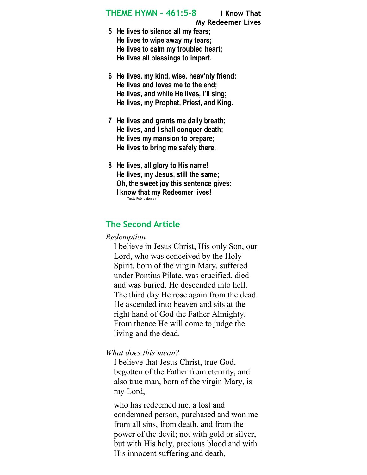### THEME HYMN – 461:5-8 I Know That

My Redeemer Lives

- 5 He lives to silence all my fears; He lives to wipe away my tears; He lives to calm my troubled heart; He lives all blessings to impart.
- 6 He lives, my kind, wise, heav'nly friend; He lives and loves me to the end; He lives, and while He lives, I'll sing; He lives, my Prophet, Priest, and King.
- 7 He lives and grants me daily breath; He lives, and I shall conquer death; He lives my mansion to prepare; He lives to bring me safely there.
- 8 He lives, all glory to His name! He lives, my Jesus, still the same; Oh, the sweet joy this sentence gives: I know that my Redeemer lives! Text: Public domain

### The Second Article

### Redemption

I believe in Jesus Christ, His only Son, our Lord, who was conceived by the Holy Spirit, born of the virgin Mary, suffered under Pontius Pilate, was crucified, died and was buried. He descended into hell. The third day He rose again from the dead. He ascended into heaven and sits at the right hand of God the Father Almighty. From thence He will come to judge the living and the dead.

### What does this mean?

I believe that Jesus Christ, true God, begotten of the Father from eternity, and also true man, born of the virgin Mary, is my Lord,

who has redeemed me, a lost and condemned person, purchased and won me from all sins, from death, and from the power of the devil; not with gold or silver, but with His holy, precious blood and with His innocent suffering and death,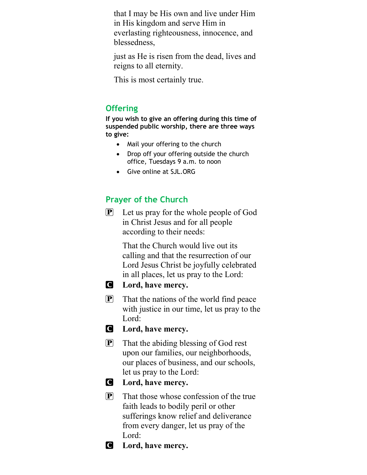that I may be His own and live under Him in His kingdom and serve Him in everlasting righteousness, innocence, and blessedness,

just as He is risen from the dead, lives and reigns to all eternity.

This is most certainly true.

### **Offering**

If you wish to give an offering during this time of suspended public worship, there are three ways to give:

- Mail your offering to the church
- Drop off your offering outside the church office, Tuesdays 9 a.m. to noon
- Give online at SJL.ORG

## Prayer of the Church

P Let us pray for the whole people of God in Christ Jesus and for all people according to their needs:

> That the Church would live out its calling and that the resurrection of our Lord Jesus Christ be joyfully celebrated in all places, let us pray to the Lord:



- **C** Lord, have mercy.
- $\mathbf{P}$  That the nations of the world find peace with justice in our time, let us pray to the Lord:
- **C** Lord, have mercy.
- P That the abiding blessing of God rest upon our families, our neighborhoods, our places of business, and our schools, let us pray to the Lord:

### **C** Lord, have mercy.

- $\left[ \mathbf{P} \right]$  That those whose confession of the true faith leads to bodily peril or other sufferings know relief and deliverance from every danger, let us pray of the Lord:
- **C** Lord, have mercy.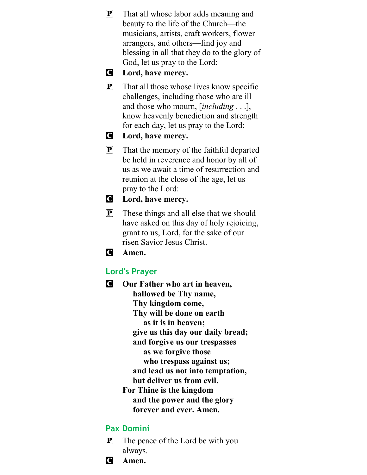- P That all whose labor adds meaning and beauty to the life of the Church—the musicians, artists, craft workers, flower arrangers, and others—find joy and blessing in all that they do to the glory of God, let us pray to the Lord:
- **C** Lord, have mercy.
- $\mathbf{P}$  That all those whose lives know specific challenges, including those who are ill and those who mourn, *[including ...*], know heavenly benediction and strength for each day, let us pray to the Lord:
- **C** Lord, have mercy.
- P That the memory of the faithful departed be held in reverence and honor by all of us as we await a time of resurrection and reunion at the close of the age, let us pray to the Lord:
- **C** Lord, have mercy.
- P These things and all else that we should have asked on this day of holy rejoicing, grant to us, Lord, for the sake of our risen Savior Jesus Christ.

C Amen.

### Lord's Prayer

**C** Our Father who art in heaven, hallowed be Thy name, Thy kingdom come, Thy will be done on earth as it is in heaven; give us this day our daily bread; and forgive us our trespasses as we forgive those who trespass against us; and lead us not into temptation, but deliver us from evil. For Thine is the kingdom and the power and the glory forever and ever. Amen.

### Pax Domini

- $\mathbf{P}$  The peace of the Lord be with you always.
- C Amen.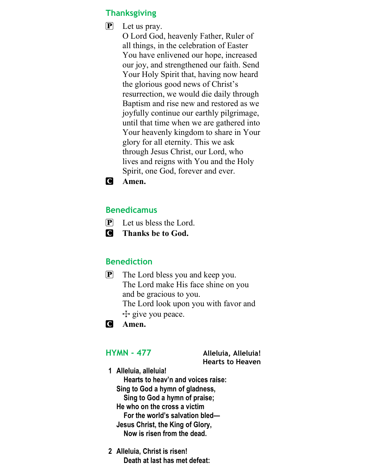### **Thanksgiving**

P Let us pray. O Lord God, heavenly Father, Ruler of all things, in the celebration of Easter You have enlivened our hope, increased our joy, and strengthened our faith. Send Your Holy Spirit that, having now heard the glorious good news of Christ's resurrection, we would die daily through Baptism and rise new and restored as we joyfully continue our earthly pilgrimage, until that time when we are gathered into Your heavenly kingdom to share in Your glory for all eternity. This we ask through Jesus Christ, our Lord, who lives and reigns with You and the Holy Spirit, one God, forever and ever.



### Benedicamus

- $\mathbf{P}$  Let us bless the Lord.
- C Thanks be to God.

### Benediction

- P The Lord bless you and keep you. The Lord make His face shine on you and be gracious to you. The Lord look upon you with favor and  $+$  give you peace.
- **C** Amen.

HYMN - 477 Alleluia, Alleluia! Hearts to Heaven

- 1 Alleluia, alleluia! Hearts to heav'n and voices raise: Sing to God a hymn of gladness, Sing to God a hymn of praise; He who on the cross a victim For the world's salvation bled— Jesus Christ, the King of Glory, Now is risen from the dead.
- 2 Alleluia, Christ is risen! Death at last has met defeat: